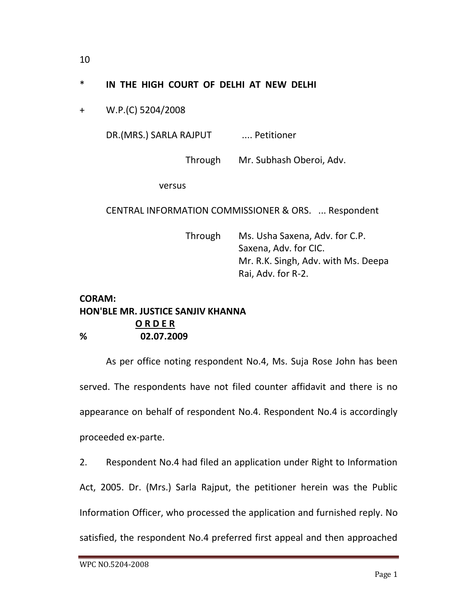## \* **IN THE HIGH COURT OF DELHI AT NEW DELHI**

+ W.P.(C) 5204/2008

DR.(MRS.) SARLA RAJPUT .... Petitioner

Through Mr. Subhash Oberoi, Adv.

versus

CENTRAL INFORMATION COMMISSIONER & ORS. ... Respondent

Through Ms. Usha Saxena, Adv. for C.P. Saxena, Adv. for CIC. Mr. R.K. Singh, Adv. with Ms. Deepa Rai, Adv. for R-2.

## **CORAM: HON'BLE MR. JUSTICE SANJIV KHANNA O R D E R % 02.07.2009**

As per office noting respondent No.4, Ms. Suja Rose John has been served. The respondents have not filed counter affidavit and there is no appearance on behalf of respondent No.4. Respondent No.4 is accordingly proceeded ex-parte.

2. Respondent No.4 had filed an application under Right to Information Act, 2005. Dr. (Mrs.) Sarla Rajput, the petitioner herein was the Public Information Officer, who processed the application and furnished reply. No satisfied, the respondent No.4 preferred first appeal and then approached

10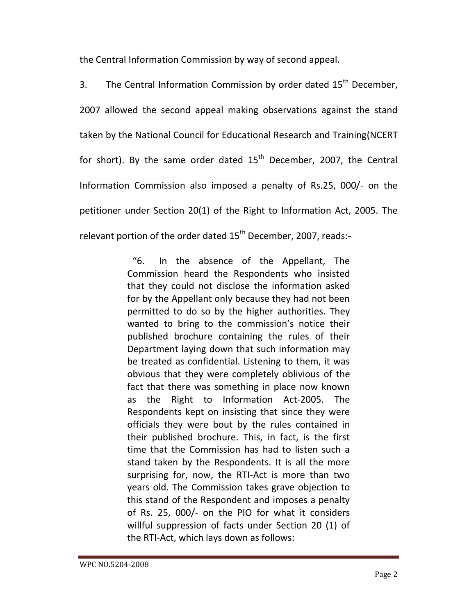the Central Information Commission by way of second appeal.

3. The Central Information Commission by order dated  $15<sup>th</sup>$  December, 2007 allowed the second appeal making observations against the stand taken by the National Council for Educational Research and Training(NCERT for short). By the same order dated  $15<sup>th</sup>$  December, 2007, the Central Information Commission also imposed a penalty of Rs.25, 000/- on the petitioner under Section 20(1) of the Right to Information Act, 2005. The relevant portion of the order dated  $15<sup>th</sup>$  December, 2007, reads:-

> "6. In the absence of the Appellant, The Commission heard the Respondents who insisted that they could not disclose the information asked for by the Appellant only because they had not been permitted to do so by the higher authorities. They wanted to bring to the commission's notice their published brochure containing the rules of their Department laying down that such information may be treated as confidential. Listening to them, it was obvious that they were completely oblivious of the fact that there was something in place now known as the Right to Information Act-2005. The Respondents kept on insisting that since they were officials they were bout by the rules contained in their published brochure. This, in fact, is the first time that the Commission has had to listen such a stand taken by the Respondents. It is all the more surprising for, now, the RTI-Act is more than two years old. The Commission takes grave objection to this stand of the Respondent and imposes a penalty of Rs. 25, 000/- on the PIO for what it considers willful suppression of facts under Section 20 (1) of the RTI-Act, which lays down as follows: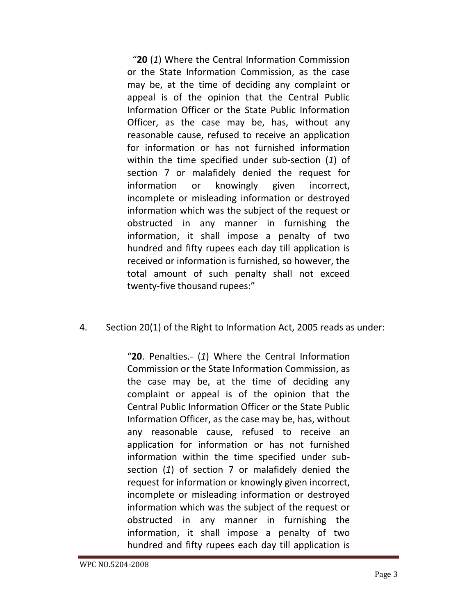"**20** (*1*) Where the Central Information Commission or the State Information Commission, as the case may be, at the time of deciding any complaint or appeal is of the opinion that the Central Public Information Officer or the State Public Information Officer, as the case may be, has, without any reasonable cause, refused to receive an application for information or has not furnished information within the time specified under sub-section (*1*) of section 7 or malafidely denied the request for information or knowingly given incorrect, incomplete or misleading information or destroyed information which was the subject of the request or obstructed in any manner in furnishing the information, it shall impose a penalty of two hundred and fifty rupees each day till application is received or information is furnished, so however, the total amount of such penalty shall not exceed twenty-five thousand rupees:"

## 4. Section 20(1) of the Right to Information Act, 2005 reads as under:

"**20**. Penalties.- (*1*) Where the Central Information Commission or the State Information Commission, as the case may be, at the time of deciding any complaint or appeal is of the opinion that the Central Public Information Officer or the State Public Information Officer, as the case may be, has, without any reasonable cause, refused to receive an application for information or has not furnished information within the time specified under subsection (*1*) of section 7 or malafidely denied the request for information or knowingly given incorrect, incomplete or misleading information or destroyed information which was the subject of the request or obstructed in any manner in furnishing the information, it shall impose a penalty of two hundred and fifty rupees each day till application is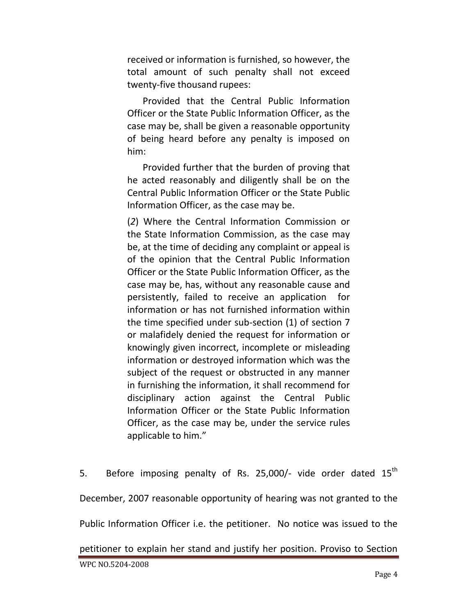received or information is furnished, so however, the total amount of such penalty shall not exceed twenty-five thousand rupees:

Provided that the Central Public Information Officer or the State Public Information Officer, as the case may be, shall be given a reasonable opportunity of being heard before any penalty is imposed on him:

Provided further that the burden of proving that he acted reasonably and diligently shall be on the Central Public Information Officer or the State Public Information Officer, as the case may be.

(*2*) Where the Central Information Commission or the State Information Commission, as the case may be, at the time of deciding any complaint or appeal is of the opinion that the Central Public Information Officer or the State Public Information Officer, as the case may be, has, without any reasonable cause and persistently, failed to receive an application for information or has not furnished information within the time specified under sub-section (1) of section 7 or malafidely denied the request for information or knowingly given incorrect, incomplete or misleading information or destroyed information which was the subject of the request or obstructed in any manner in furnishing the information, it shall recommend for disciplinary action against the Central Public Information Officer or the State Public Information Officer, as the case may be, under the service rules applicable to him."

5. Before imposing penalty of Rs. 25,000/- vide order dated  $15<sup>th</sup>$ December, 2007 reasonable opportunity of hearing was not granted to the Public Information Officer i.e. the petitioner. No notice was issued to the petitioner to explain her stand and justify her position. Proviso to Section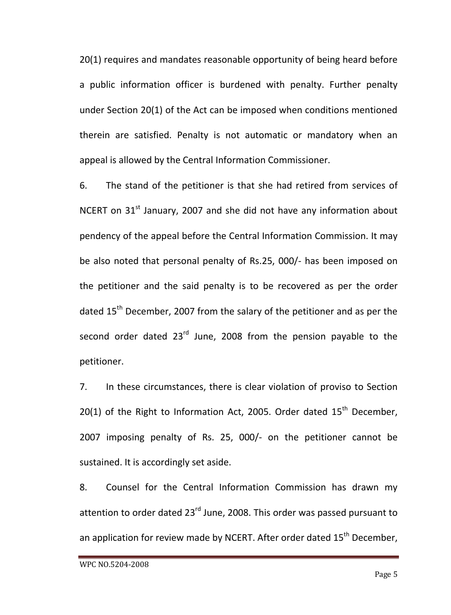20(1) requires and mandates reasonable opportunity of being heard before a public information officer is burdened with penalty. Further penalty under Section 20(1) of the Act can be imposed when conditions mentioned therein are satisfied. Penalty is not automatic or mandatory when an appeal is allowed by the Central Information Commissioner.

6. The stand of the petitioner is that she had retired from services of NCERT on  $31<sup>st</sup>$  January, 2007 and she did not have any information about pendency of the appeal before the Central Information Commission. It may be also noted that personal penalty of Rs.25, 000/- has been imposed on the petitioner and the said penalty is to be recovered as per the order dated 15<sup>th</sup> December, 2007 from the salary of the petitioner and as per the second order dated  $23<sup>rd</sup>$  June, 2008 from the pension payable to the petitioner.

7. In these circumstances, there is clear violation of proviso to Section 20(1) of the Right to Information Act, 2005. Order dated  $15<sup>th</sup>$  December, 2007 imposing penalty of Rs. 25, 000/- on the petitioner cannot be sustained. It is accordingly set aside.

8. Counsel for the Central Information Commission has drawn my attention to order dated 23<sup>rd</sup> June, 2008. This order was passed pursuant to an application for review made by NCERT. After order dated 15<sup>th</sup> December,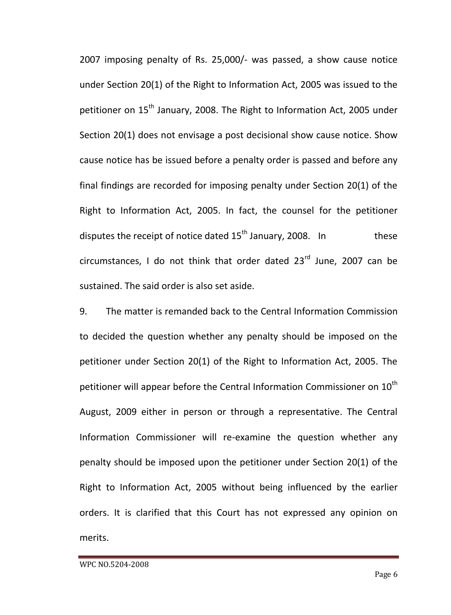2007 imposing penalty of Rs. 25,000/- was passed, a show cause notice under Section 20(1) of the Right to Information Act, 2005 was issued to the petitioner on 15<sup>th</sup> January, 2008. The Right to Information Act, 2005 under Section 20(1) does not envisage a post decisional show cause notice. Show cause notice has be issued before a penalty order is passed and before any final findings are recorded for imposing penalty under Section 20(1) of the Right to Information Act, 2005. In fact, the counsel for the petitioner disputes the receipt of notice dated  $15<sup>th</sup>$  January, 2008. In these circumstances, I do not think that order dated  $23^{rd}$  June, 2007 can be sustained. The said order is also set aside.

9. The matter is remanded back to the Central Information Commission to decided the question whether any penalty should be imposed on the petitioner under Section 20(1) of the Right to Information Act, 2005. The petitioner will appear before the Central Information Commissioner on  $10<sup>th</sup>$ August, 2009 either in person or through a representative. The Central Information Commissioner will re-examine the question whether any penalty should be imposed upon the petitioner under Section 20(1) of the Right to Information Act, 2005 without being influenced by the earlier orders. It is clarified that this Court has not expressed any opinion on merits.